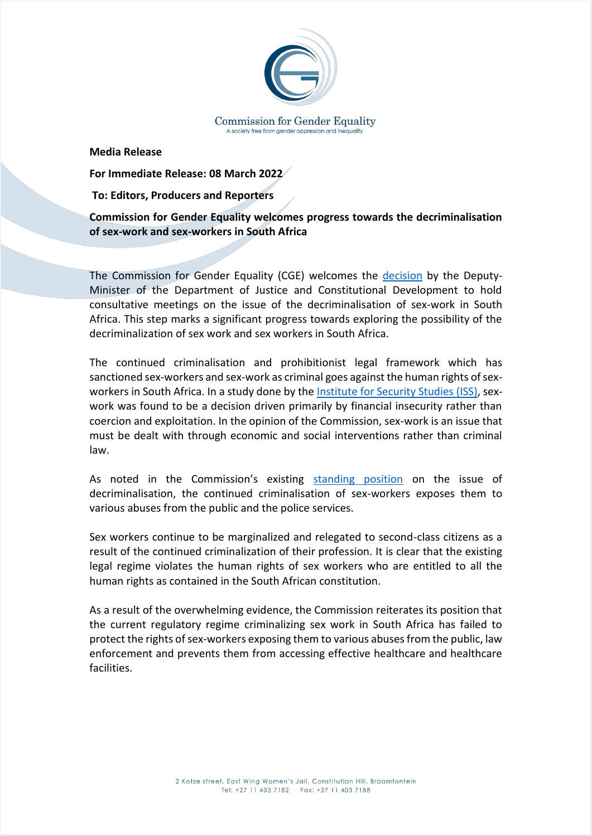

**Media Release**

**For Immediate Release: 08 March 2022**

**To: Editors, Producers and Reporters** 

**Commission for Gender Equality welcomes progress towards the decriminalisation of sex-work and sex-workers in South Africa**

The Commission for Gender Equality (CGE) welcomes the [decision](https://www.justice.gov.za/m_statements/2022/20220208-Decriminalisation-SexWork-DM.html) by the Deputy-Minister of the Department of Justice and Constitutional Development to hold consultative meetings on the issue of the decriminalisation of sex-work in South Africa. This step marks a significant progress towards exploring the possibility of the decriminalization of sex work and sex workers in South Africa.

The continued criminalisation and prohibitionist legal framework which has sanctioned sex-workers and sex-work as criminal goes against the human rights of sexworkers in South Africa. In a study done by th[e Institute for Security Studies](https://issafrica.s3.amazonaws.com/site/uploads/Book2008SellingSexInCT.pdf) (ISS), sexwork was found to be a decision driven primarily by financial insecurity rather than coercion and exploitation. In the opinion of the Commission, sex-work is an issue that must be dealt with through economic and social interventions rather than criminal law.

As noted in the Commission's existing [standing position](http://cge.org.za/wp-content/uploads/2021/01/CGE-Decr.pdf) on the issue of decriminalisation, the continued criminalisation of sex-workers exposes them to various abuses from the public and the police services.

Sex workers continue to be marginalized and relegated to second-class citizens as a result of the continued criminalization of their profession. It is clear that the existing legal regime violates the human rights of sex workers who are entitled to all the human rights as contained in the South African constitution.

As a result of the overwhelming evidence, the Commission reiterates its position that the current regulatory regime criminalizing sex work in South Africa has failed to protect the rights of sex-workers exposing them to various abuses from the public, law enforcement and prevents them from accessing effective healthcare and healthcare facilities.